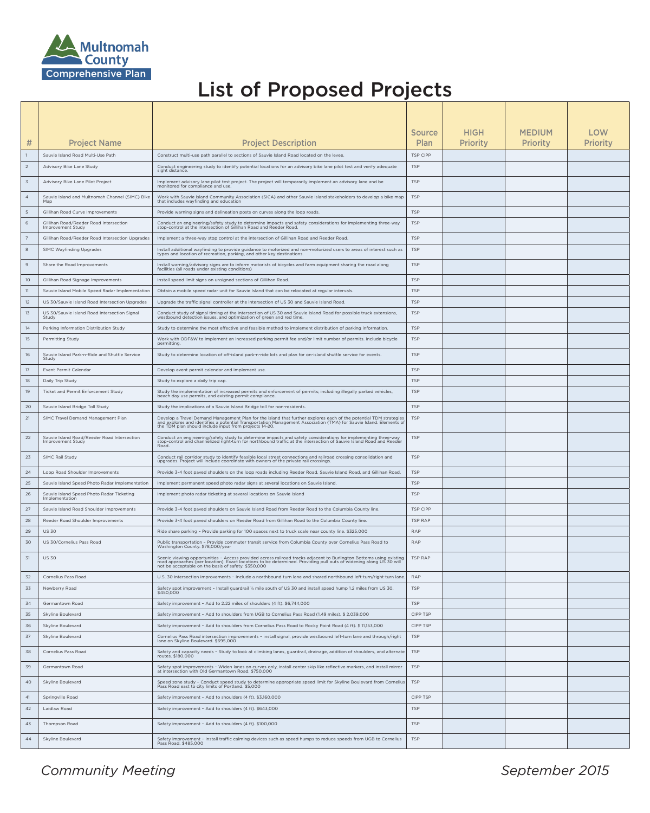





## List of Proposed Projects

|                 |                                                                    |                                                                                                                                                                                                                                                                                                   | <b>Source</b>            | <b>HIGH</b>     | <b>MEDIUM</b>   | LOW             |
|-----------------|--------------------------------------------------------------------|---------------------------------------------------------------------------------------------------------------------------------------------------------------------------------------------------------------------------------------------------------------------------------------------------|--------------------------|-----------------|-----------------|-----------------|
| #               | <b>Project Name</b>                                                | <b>Project Description</b>                                                                                                                                                                                                                                                                        | Plan                     | <b>Priority</b> | <b>Priority</b> | <b>Priority</b> |
|                 | Sauvie Island Road Multi-Use Path                                  | Construct multi-use path parallel to sections of Sauvie Island Road located on the levee.                                                                                                                                                                                                         | TSP CIPP                 |                 |                 |                 |
|                 | <b>Advisory Bike Lane Study</b>                                    | Conduct engineering study to identify potential locations for an advisory bike lane pilot test and verify adequate<br>sight distance.                                                                                                                                                             | <b>TSP</b>               |                 |                 |                 |
|                 | Advisory Bike Lane Pilot Project                                   | Implement advisory lane pilot test project. The project will temporarily implement an advisory lane and be<br>monitored for compliance and use.                                                                                                                                                   | <b>TSP</b>               |                 |                 |                 |
| $\overline{4}$  | Sauvie Island and Multnomah Channel (SIMC) Bike<br>Map             | Work with Sauvie Island Community Association (SICA) and other Sauvie Island stakeholders to develop a bike map<br>that includes wayfinding and education                                                                                                                                         | <b>TSP</b>               |                 |                 |                 |
|                 | Gillihan Road Curve Improvements                                   | Provide warning signs and delineation posts on curves along the loop roads.                                                                                                                                                                                                                       | <b>TSP</b>               |                 |                 |                 |
|                 | Gillihan Road/Reeder Road Intersection<br><b>Improvement Study</b> | Conduct an engineering/safety study to determine impacts and safety considerations for implementing three-way<br>stop-control at the intersection of Gillihan Road and Reeder Road.                                                                                                               | <b>TSP</b>               |                 |                 |                 |
|                 | Gillihan Road/Reeder Road Intersection Upgrades                    | Implement a three-way stop control at the intersection of Gillihan Road and Reeder Road.                                                                                                                                                                                                          | <b>TSP</b>               |                 |                 |                 |
| 8               | <b>SIMC Wayfinding Upgrades</b>                                    | Install additional wayfinding to provide guidance to motorized and non-motorized users to areas of interest such as<br>types and location of recreation, parking, and other key destinations.                                                                                                     | <b>TSP</b>               |                 |                 |                 |
|                 | Share the Road Improvements                                        | Install warning/advisory signs are to inform motorists of bicycles and farm equipment sharing the road along<br>facilities (all roads under existing conditions)                                                                                                                                  | <b>TSP</b>               |                 |                 |                 |
| 10 <sup>°</sup> | Gillihan Road Signage Improvements                                 | Install speed limit signs on unsigned sections of Gillihan Road.                                                                                                                                                                                                                                  | <b>TSP</b>               |                 |                 |                 |
|                 | Sauvie Island Mobile Speed Radar Implementation                    | Obtain a mobile speed radar unit for Sauvie Island that can be relocated at regular intervals.                                                                                                                                                                                                    | <b>TSP</b>               |                 |                 |                 |
| 12              | US 30/Sauvie Island Road Intersection Upgrades                     | Upgrade the traffic signal controller at the intersection of US 30 and Sauvie Island Road.                                                                                                                                                                                                        | <b>TSP</b>               |                 |                 |                 |
| 13              | US 30/Sauvie Island Road Intersection Signal<br>Study              | Conduct study of signal timing at the intersection of US 30 and Sauvie Island Road for possible truck extensions,<br>westbound detection issues, and optimization of green and red time.                                                                                                          | <b>TSP</b>               |                 |                 |                 |
| 14              | Parking Information Distribution Study                             | Study to determine the most effective and feasible method to implement distribution of parking information.                                                                                                                                                                                       | <b>TSP</b>               |                 |                 |                 |
| 15              | <b>Permitting Study</b>                                            | Work with ODF&W to implement an increased parking permit fee and/or limit number of permits. Include bicycle<br>permitting.                                                                                                                                                                       | <b>TSP</b>               |                 |                 |                 |
| 16              | Sauvie Island Park-n-Ride and Shuttle Service<br>Study             | Study to determine location of off-island park-n-ride lots and plan for on-island shuttle service for events.                                                                                                                                                                                     | <b>TSP</b>               |                 |                 |                 |
| 17              | Event Permit Calendar                                              | Develop event permit calendar and implement use.                                                                                                                                                                                                                                                  | <b>TSP</b>               |                 |                 |                 |
| 18              | Daily Trip Study                                                   | Study to explore a daily trip cap.                                                                                                                                                                                                                                                                | <b>TSP</b>               |                 |                 |                 |
| 19              | <b>Ticket and Permit Enforcement Study</b>                         | Study the implementation of increased permits and enforcement of permits; including illegally parked vehicles,<br>beach day use permits, and existing permit compliance.                                                                                                                          | <b>TSP</b>               |                 |                 |                 |
| 20              | Sauvie Island Bridge Toll Study                                    | Study the implications of a Sauvie Island Bridge toll for non-residents.                                                                                                                                                                                                                          | <b>TSP</b>               |                 |                 |                 |
| 21              | <b>SIMC Travel Demand Management Plan</b>                          | Develop a Travel Demand Management Plan for the island that further explores each of the potential TDM strategies<br>and explores and identifies a potential Transportation Management Association (TMA) for Sauvie Island. Elements of<br>the TDM plan should include input from projects 14-20. | <b>TSP</b>               |                 |                 |                 |
| 22              | Sauvie Island Road/Reeder Road Intersection<br>Improvement Study   | Conduct an engineering/safety study to determine impacts and safety considerations for implementing three-way<br>stop-control and channelized right-turn for northbound traffic at the intersection of Sauvie Island Road and Ree<br>Road                                                         | <b>TSP</b>               |                 |                 |                 |
| 23              | <b>SIMC Rail Study</b>                                             | Conduct rail corridor study to identify feasible local street connections and railroad crossing consolidation and<br>upgrades. Project will include coordinate with owners of the private rail crossings.                                                                                         | <b>TSP</b>               |                 |                 |                 |
| 24              | Loop Road Shoulder Improvements                                    | Provide 3-4 foot paved shoulders on the loop roads including Reeder Road, Sauvie Island Road, and Gillihan Road.                                                                                                                                                                                  | <b>TSP</b>               |                 |                 |                 |
| 25              | Sauvie Island Speed Photo Radar Implementation                     | Implement permanent speed photo radar signs at several locations on Sauvie Island.                                                                                                                                                                                                                | <b>TSP</b>               |                 |                 |                 |
| 26              | Sauvie Island Speed Photo Radar Ticketing<br>Implementation        | Implement photo radar ticketing at several locations on Sauvie Island                                                                                                                                                                                                                             | <b>TSP</b>               |                 |                 |                 |
| 27              | Sauvie Island Road Shoulder Improvements                           | Provide 3-4 foot paved shoulders on Sauvie Island Road from Reeder Road to the Columbia County line.                                                                                                                                                                                              | TSP CIPP                 |                 |                 |                 |
| 28              | Reeder Road Shoulder Improvements                                  | Provide 3-4 foot paved shoulders on Reeder Road from Gillihan Road to the Columbia County line.                                                                                                                                                                                                   | TSP RAP                  |                 |                 |                 |
| 29<br>30        | <b>US 30</b><br>US 30/Cornelius Pass Road                          | Ride share parking - Provide parking for 100 spaces next to truck scale near county line. \$325,000<br>Public transportation - Provide commuter transit service from Columbia County over Cornelius Pass Road to                                                                                  | <b>RAP</b><br><b>RAP</b> |                 |                 |                 |
| 31              | <b>US 30</b>                                                       | Washington County. \$78,000/year<br>Scenic viewing opportunities - Access provided across railroad tracks adjacent to Burlington Bottoms using existing                                                                                                                                           | TSP RAP                  |                 |                 |                 |
|                 |                                                                    | road approaches (per location). Exact locations to be determined. Providing pull outs of widening along US 30 will<br>not be acceptable on the basis of safety. \$350,000                                                                                                                         |                          |                 |                 |                 |
| 32              | <b>Cornelius Pass Road</b>                                         | U.S. 30 intersection improvements - Include a northbound turn lane and shared northbound left-turn/right-turn lane.                                                                                                                                                                               | RAP                      |                 |                 |                 |
| 33              | Newberry Road                                                      | Safety spot improvement - Install guardrail 1/4 mile south of US 30 and install speed hump 1.2 miles from US 30.<br>\$450,000                                                                                                                                                                     | <b>TSP</b>               |                 |                 |                 |
| 34              | <b>Germantown Road</b>                                             | Safety improvement - Add to 2.22 miles of shoulders (4 ft). \$6,744,000                                                                                                                                                                                                                           | <b>TSP</b>               |                 |                 |                 |
| 35              | <b>Skyline Boulevard</b>                                           | Safety improvement - Add to shoulders from UGB to Cornelius Pass Road (1.49 miles). \$ 2,039,000                                                                                                                                                                                                  | CIPP TSP                 |                 |                 |                 |
| 36<br>37        | <b>Skyline Boulevard</b><br><b>Skyline Boulevard</b>               | Safety improvement - Add to shoulders from Cornelius Pass Road to Rocky Point Road (4 ft). \$ 11,153,000<br>Cornelius Pass Road intersection improvements - install signal, provide westbound left-turn lane and through/right                                                                    | CIPP TSP<br><b>TSP</b>   |                 |                 |                 |
|                 |                                                                    | lane on Skyline Boulevard. \$695,000                                                                                                                                                                                                                                                              |                          |                 |                 |                 |
| 38<br>39        | <b>Cornelius Pass Road</b><br><b>Germantown Road</b>               | Safety and capacity needs - Study to look at climbing lanes, guardrail, drainage, addition of shoulders, and alternate<br>routes. \$180,000<br>Safety spot improvements - Widen lanes on curves only, install center skip like reflective markers, and install mirror                             | <b>TSP</b><br><b>TSP</b> |                 |                 |                 |
| 40              |                                                                    | at intersection with Old Germantown Road. \$750,000                                                                                                                                                                                                                                               |                          |                 |                 |                 |
|                 | <b>Skyline Boulevard</b>                                           | Speed zone study - Conduct speed study to determine appropriate speed limit for Skyline Boulevard from Cornelius   TSP<br>Pass Road east to city limits of Portland. \$5,000                                                                                                                      |                          |                 |                 |                 |
| 41              | <b>Springville Road</b>                                            | Safety improvement - Add to shoulders (4 ft). \$3,160,000                                                                                                                                                                                                                                         | CIPP TSP                 |                 |                 |                 |
| 42              | Laidlaw Road                                                       | Safety improvement - Add to shoulders (4 ft). \$643,000                                                                                                                                                                                                                                           | <b>TSP</b>               |                 |                 |                 |
|                 |                                                                    |                                                                                                                                                                                                                                                                                                   |                          |                 |                 |                 |
| 43              | <b>Thompson Road</b>                                               | Safety improvement - Add to shoulders (4 ft). \$100,000                                                                                                                                                                                                                                           | <b>TSP</b>               |                 |                 |                 |